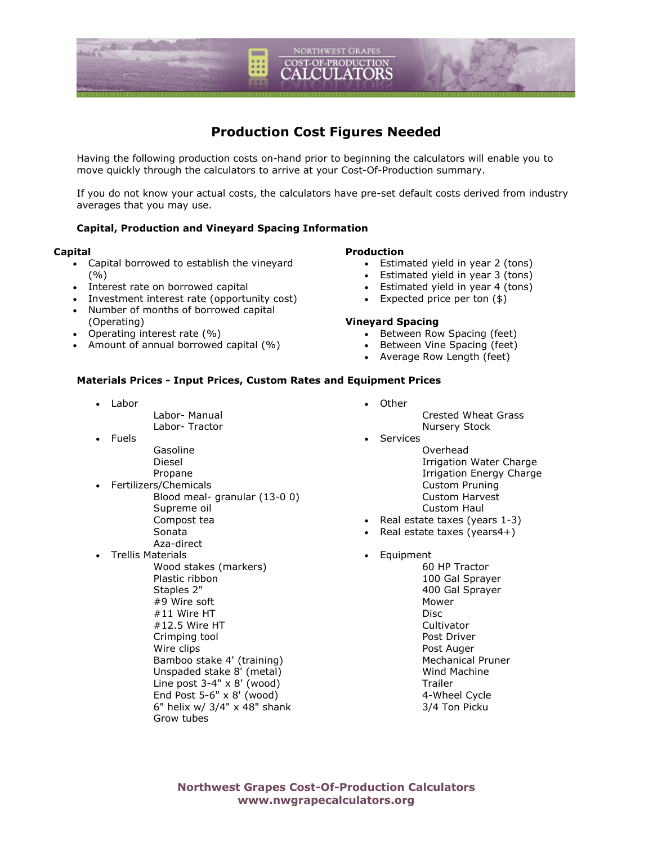

# **Production Cost Figures Needed**

Having the following production costs on-hand prior to beginning the calculators will enable you to move quickly through the calculators to arrive at your Cost-Of-Production summary.

If you do not know your actual costs, the calculators have pre-set default costs derived from industry averages that you may use.

# **Capital, Production and Vineyard Spacing Information**

#### **Capital**

- Capital borrowed to establish the vineyard (%)
- Interest rate on borrowed capital
- Investment interest rate (opportunity cost)
- Number of months of borrowed capital
- (Operating)
- Operating interest rate (%)
- Amount of annual borrowed capital (%)

# **Production**

- Estimated yield in year 2 (tons)
- Estimated yield in year 3 (tons)
- Estimated yield in year 4 (tons)
- Expected price per ton (\$)

# **Vineyard Spacing**

- Between Row Spacing (feet)
- Between Vine Spacing (feet)
- Average Row Length (feet)

#### **Materials Prices - Input Prices, Custom Rates and Equipment Prices**

• Labor

 Labor- Manual Labor- Tractor

- Fuels
	- Gasoline Diesel
		- Propane
- Fertilizers/Chemicals Blood meal- granular (13-0 0) Supreme oil Compost tea Sonata Aza-direct
- Trellis Materials
	- Wood stakes (markers) Plastic ribbon Staples 2" #9 Wire soft #11 Wire HT #12.5 Wire HT Crimping tool Wire clips Bamboo stake 4' (training) Unspaded stake 8' (metal) Line post  $3-4$ " x  $8'$  (wood) End Post 5-6" x 8' (wood) 6" helix w/ 3/4" x 48" shank Grow tubes
- Other Crested Wheat Grass Nursery Stock **Services** 
	- Overhead Irrigation Water Charge Irrigation Energy Charge Custom Pruning Custom Harvest Custom Haul
- Real estate taxes (years 1-3)
- Real estate taxes (years4+)
- **Equipment** 
	- 60 HP Tractor 100 Gal Sprayer 400 Gal Sprayer Mower Disc **Cultivator**  Post Driver Post Auger Mechanical Pruner Wind Machine Trailer 4-Wheel Cycle 3/4 Ton Picku